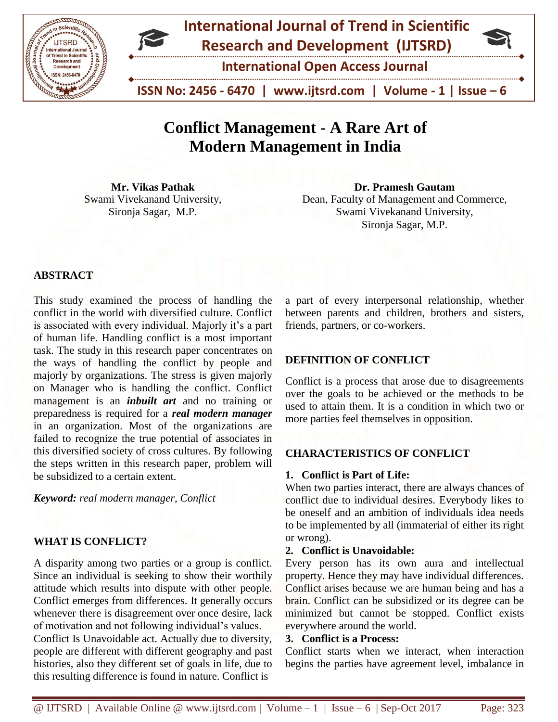



**International Open Access Journal**

 **ISSN No: 2456 - 6470 | www.ijtsrd.com | Volume - 1 | Issue – 6**

# **Conflict Management - A Rare Art of Modern Management in India**

**Mr. Vikas Pathak** Swami Vivekanand University, Sironja Sagar, M.P.

**Dr. Pramesh Gautam** Dean, Faculty of Management and Commerce, Swami Vivekanand University, Sironja Sagar, M.P.

# **ABSTRACT**

This study examined the process of handling the conflict in the world with diversified culture. Conflict is associated with every individual. Majorly it's a part of human life. Handling conflict is a most important task. The study in this research paper concentrates on the ways of handling the conflict by people and majorly by organizations. The stress is given majorly on Manager who is handling the conflict. Conflict management is an *inbuilt art* and no training or preparedness is required for a *real modern manager* in an organization. Most of the organizations are failed to recognize the true potential of associates in this diversified society of cross cultures. By following the steps written in this research paper, problem will be subsidized to a certain extent.

*Keyword: real modern manager, Conflict* 

# **WHAT IS CONFLICT?**

A disparity among two parties or a group is conflict. Since an individual is seeking to show their worthily attitude which results into dispute with other people. Conflict emerges from differences. It generally occurs whenever there is disagreement over once desire, lack of motivation and not following individual's values. Conflict Is Unavoidable act. Actually due to diversity, people are different with different geography and past histories, also they different set of goals in life, due to this resulting difference is found in nature. Conflict is

a part of every interpersonal relationship, whether between parents and children, brothers and sisters, friends, partners, or co-workers.

# **DEFINITION OF CONFLICT**

Conflict is a process that arose due to disagreements over the goals to be achieved or the methods to be used to attain them. It is a condition in which two or more parties feel themselves in opposition.

# **CHARACTERISTICS OF CONFLICT**

# **1. Conflict is Part of Life:**

When two parties interact, there are always chances of conflict due to individual desires. Everybody likes to be oneself and an ambition of individuals idea needs to be implemented by all (immaterial of either its right or wrong).

#### **2. Conflict is Unavoidable:**

Every person has its own aura and intellectual property. Hence they may have individual differences. Conflict arises because we are human being and has a brain. Conflict can be subsidized or its degree can be minimized but cannot be stopped. Conflict exists everywhere around the world.

#### **3. Conflict is a Process:**

Conflict starts when we interact, when interaction begins the parties have agreement level, imbalance in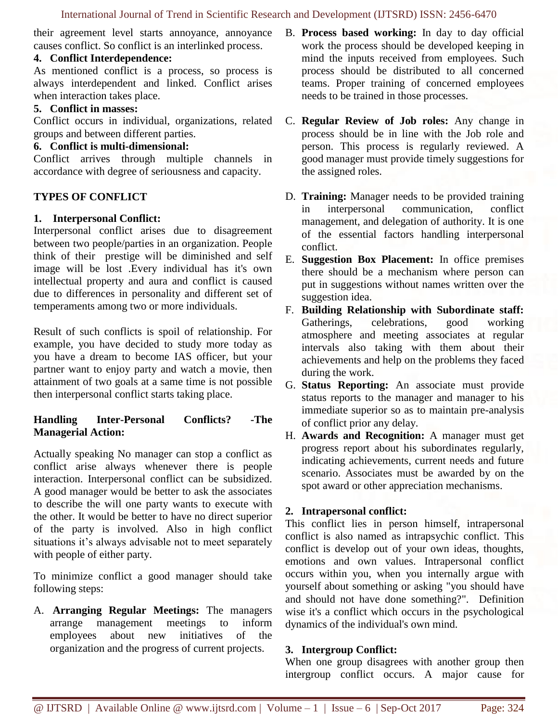their agreement level starts annoyance, annoyance causes conflict. So conflict is an interlinked process.

### **4. Conflict Interdependence:**

As mentioned conflict is a process, so process is always interdependent and linked. Conflict arises when interaction takes place.

# **5. Conflict in masses:**

Conflict occurs in individual, organizations, related groups and between different parties.

### **6. Conflict is multi-dimensional:**

Conflict arrives through multiple channels in accordance with degree of seriousness and capacity.

# **TYPES OF CONFLICT**

### **1. Interpersonal Conflict:**

Interpersonal conflict arises due to disagreement between two people/parties in an organization. People think of their prestige will be diminished and self image will be lost .Every individual has it's own intellectual property and aura and conflict is caused due to differences in personality and different set of temperaments among two or more individuals.

Result of such conflicts is spoil of relationship. For example, you have decided to study more today as you have a dream to become IAS officer, but your partner want to enjoy party and watch a movie, then attainment of two goals at a same time is not possible then interpersonal conflict starts taking place.

# **Handling Inter-Personal Conflicts? -The Managerial Action:**

Actually speaking No manager can stop a conflict as conflict arise always whenever there is people interaction. Interpersonal conflict can be subsidized. A good manager would be better to ask the associates to describe the will one party wants to execute with the other. It would be better to have no direct superior of the party is involved. Also in high conflict situations it's always advisable not to meet separately with people of either party.

To minimize conflict a good manager should take following steps:

A. **Arranging Regular Meetings:** The managers arrange management meetings to inform employees about new initiatives of the organization and the progress of current projects.

- B. **Process based working:** In day to day official work the process should be developed keeping in mind the inputs received from employees. Such process should be distributed to all concerned teams. Proper training of concerned employees needs to be trained in those processes.
- C. **Regular Review of Job roles:** Any change in process should be in line with the Job role and person. This process is regularly reviewed. A good manager must provide timely suggestions for the assigned roles.
- D. **Training:** Manager needs to be provided training in interpersonal communication, conflict management, and delegation of authority. It is one of the essential factors handling interpersonal conflict.
- E. **Suggestion Box Placement:** In office premises there should be a mechanism where person can put in suggestions without names written over the suggestion idea.
- F. **Building Relationship with Subordinate staff:**  Gatherings, celebrations, good working atmosphere and meeting associates at regular intervals also taking with them about their achievements and help on the problems they faced during the work.
- G. **Status Reporting:** An associate must provide status reports to the manager and manager to his immediate superior so as to maintain pre-analysis of conflict prior any delay.
- H. **Awards and Recognition:** A manager must get progress report about his subordinates regularly, indicating achievements, current needs and future scenario. Associates must be awarded by on the spot award or other appreciation mechanisms.

# **2. Intrapersonal conflict:**

This conflict lies in person himself, intrapersonal conflict is also named as intrapsychic conflict. This conflict is develop out of your own ideas, thoughts, emotions and own values. Intrapersonal conflict occurs within you, when you internally argue with yourself about something or asking "you should have and should not have done something?". Definition wise it's a conflict which occurs in the psychological dynamics of the individual's own mind.

# **3. Intergroup Conflict:**

When one group disagrees with another group then intergroup conflict occurs. A major cause for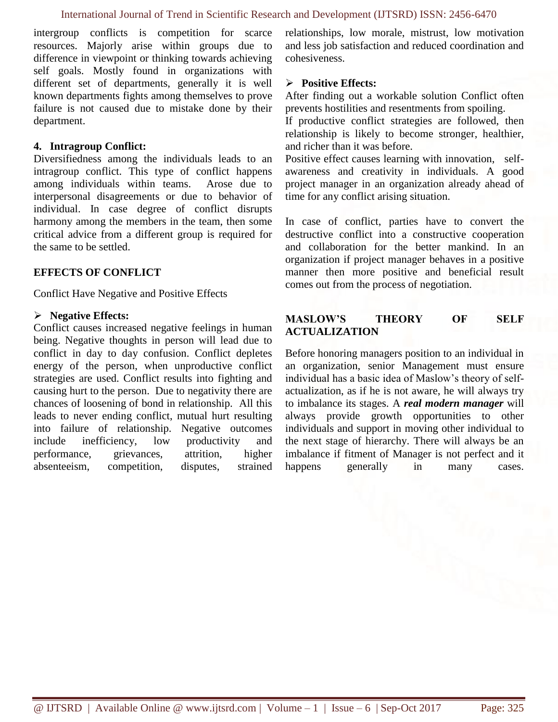intergroup conflicts is competition for scarce resources. Majorly arise within groups due to difference in viewpoint or thinking towards achieving self goals. Mostly found in organizations with different set of departments, generally it is well known departments fights among themselves to prove failure is not caused due to mistake done by their department.

#### **4. Intragroup Conflict:**

Diversifiedness among the individuals leads to an intragroup conflict. This type of conflict happens among individuals within teams. Arose due to interpersonal disagreements or due to behavior of individual. In case degree of conflict disrupts harmony among the members in the team, then some critical advice from a different group is required for the same to be settled.

#### **EFFECTS OF CONFLICT**

Conflict Have Negative and Positive Effects

#### **Negative Effects:**

Conflict causes increased negative feelings in human being. Negative thoughts in person will lead due to conflict in day to day confusion. Conflict depletes energy of the person, when unproductive conflict strategies are used. Conflict results into fighting and causing hurt to the person. Due to negativity there are chances of loosening of bond in relationship. All this leads to never ending conflict, mutual hurt resulting into failure of relationship. Negative outcomes include inefficiency, low productivity and performance, grievances, attrition, higher absenteeism, competition, disputes, strained relationships, low morale, mistrust, low motivation and less job satisfaction and reduced coordination and cohesiveness.

#### **Positive Effects:**

After finding out a workable solution Conflict often prevents hostilities and resentments from spoiling.

If productive conflict strategies are followed, then relationship is likely to become stronger, healthier, and richer than it was before.

Positive effect causes learning with innovation, selfawareness and creativity in individuals. A good project manager in an organization already ahead of time for any conflict arising situation.

In case of conflict, parties have to convert the destructive conflict into a constructive cooperation and collaboration for the better mankind. In an organization if project manager behaves in a positive manner then more positive and beneficial result comes out from the process of negotiation.

### **MASLOW'S THEORY OF SELF ACTUALIZATION**

Before honoring managers position to an individual in an organization, senior Management must ensure individual has a basic idea of Maslow's theory of selfactualization, as if he is not aware, he will always try to imbalance its stages. A *real modern manager* will always provide growth opportunities to other individuals and support in moving other individual to the next stage of hierarchy. There will always be an imbalance if fitment of Manager is not perfect and it happens generally in many cases.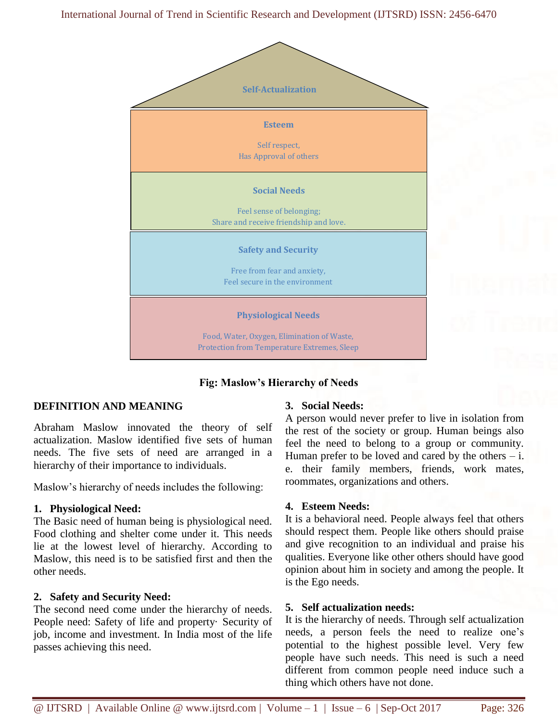

# **Fig: Maslow's Hierarchy of Needs**

# **DEFINITION AND MEANING**

Abraham Maslow innovated the theory of self actualization. Maslow identified five sets of human needs. The five sets of need are arranged in a hierarchy of their importance to individuals.

Maslow's hierarchy of needs includes the following:

#### **1. Physiological Need:**

The Basic need of human being is physiological need. Food clothing and shelter come under it. This needs lie at the lowest level of hierarchy. According to Maslow, this need is to be satisfied first and then the other needs.

#### **2. Safety and Security Need:**

The second need come under the hierarchy of needs. People need: Safety of life and property· Security of job, income and investment. In India most of the life passes achieving this need.

#### **3. Social Needs:**

A person would never prefer to live in isolation from the rest of the society or group. Human beings also feel the need to belong to a group or community. Human prefer to be loved and cared by the others  $- i$ . e. their family members, friends, work mates, roommates, organizations and others.

#### **4. Esteem Needs:**

It is a behavioral need. People always feel that others should respect them. People like others should praise and give recognition to an individual and praise his qualities. Everyone like other others should have good opinion about him in society and among the people. It is the Ego needs.

#### **5. Self actualization needs:**

It is the hierarchy of needs. Through self actualization needs, a person feels the need to realize one's potential to the highest possible level. Very few people have such needs. This need is such a need different from common people need induce such a thing which others have not done.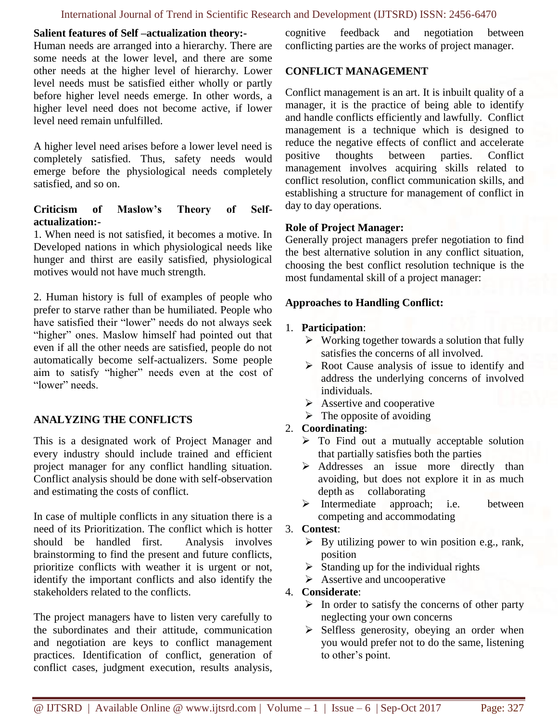#### **Salient features of Self –actualization theory:-**

Human needs are arranged into a hierarchy. There are some needs at the lower level, and there are some other needs at the higher level of hierarchy. Lower level needs must be satisfied either wholly or partly before higher level needs emerge. In other words, a higher level need does not become active, if lower level need remain unfulfilled.

A higher level need arises before a lower level need is completely satisfied. Thus, safety needs would emerge before the physiological needs completely satisfied, and so on.

### **Criticism of Maslow's Theory of Selfactualization:-**

1. When need is not satisfied, it becomes a motive. In Developed nations in which physiological needs like hunger and thirst are easily satisfied, physiological motives would not have much strength.

2. Human history is full of examples of people who prefer to starve rather than be humiliated. People who have satisfied their "lower" needs do not always seek "higher" ones. Maslow himself had pointed out that even if all the other needs are satisfied, people do not automatically become self-actualizers. Some people aim to satisfy "higher" needs even at the cost of "lower" needs.

# **ANALYZING THE CONFLICTS**

This is a designated work of Project Manager and every industry should include trained and efficient project manager for any conflict handling situation. Conflict analysis should be done with self-observation and estimating the costs of conflict.

In case of multiple conflicts in any situation there is a need of its Prioritization. The conflict which is hotter should be handled first. Analysis involves brainstorming to find the present and future conflicts, prioritize conflicts with weather it is urgent or not, identify the important conflicts and also identify the stakeholders related to the conflicts.

The project managers have to listen very carefully to the subordinates and their attitude, communication and negotiation are keys to conflict management practices. Identification of conflict, generation of conflict cases, judgment execution, results analysis, cognitive feedback and negotiation between conflicting parties are the works of project manager.

#### **CONFLICT MANAGEMENT**

Conflict management is an art. It is inbuilt quality of a manager, it is the practice of being able to identify and handle conflicts efficiently and lawfully. Conflict management is a technique which is designed to reduce the negative effects of conflict and accelerate positive thoughts between parties. Conflict management involves acquiring skills related to conflict resolution, conflict communication skills, and establishing a structure for management of conflict in day to day operations.

#### **Role of Project Manager:**

Generally project managers prefer negotiation to find the best alternative solution in any conflict situation, choosing the best conflict resolution technique is the most fundamental skill of a project manager:

#### **Approaches to Handling Conflict:**

#### 1. **Participation**:

- $\triangleright$  Working together towards a solution that fully satisfies the concerns of all involved.
- $\triangleright$  Root Cause analysis of issue to identify and address the underlying concerns of involved individuals.
- $\triangleright$  Assertive and cooperative
- $\triangleright$  The opposite of avoiding

# 2. **Coordinating**:

- $\triangleright$  To Find out a mutually acceptable solution that partially satisfies both the parties
- Addresses an issue more directly than avoiding, but does not explore it in as much depth as collaborating
- $\triangleright$  Intermediate approach; i.e. between competing and accommodating

#### 3. **Contest**:

- $\triangleright$  By utilizing power to win position e.g., rank, position
- $\triangleright$  Standing up for the individual rights
- $\triangleright$  Assertive and uncooperative

#### 4. **Considerate**:

- $\triangleright$  In order to satisfy the concerns of other party neglecting your own concerns
- $\triangleright$  Selfless generosity, obeying an order when you would prefer not to do the same, listening to other's point.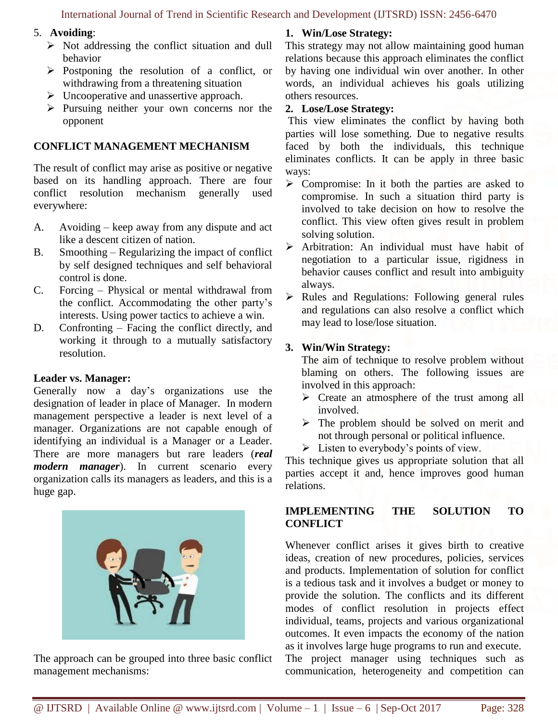#### 5. **Avoiding**:

- $\triangleright$  Not addressing the conflict situation and dull behavior
- $\triangleright$  Postponing the resolution of a conflict, or withdrawing from a threatening situation
- $\triangleright$  Uncooperative and unassertive approach.
- $\triangleright$  Pursuing neither your own concerns nor the opponent

### **CONFLICT MANAGEMENT MECHANISM**

The result of conflict may arise as positive or negative based on its handling approach. There are four conflict resolution mechanism generally used everywhere:

- A. Avoiding keep away from any dispute and act like a descent citizen of nation.
- B. Smoothing Regularizing the impact of conflict by self designed techniques and self behavioral control is done.
- C. Forcing Physical or mental withdrawal from the conflict. Accommodating the other party's interests. Using power tactics to achieve a win.
- D. Confronting Facing the conflict directly, and working it through to a mutually satisfactory resolution.

#### **Leader vs. Manager:**

Generally now a day's organizations use the designation of leader in place of Manager. In modern management perspective a leader is next level of a manager. Organizations are not capable enough of identifying an individual is a Manager or a Leader. There are more managers but rare leaders (*real modern manager*). In current scenario every organization calls its managers as leaders, and this is a huge gap.



The approach can be grouped into three basic conflict management mechanisms:

# **1. Win/Lose Strategy:**

This strategy may not allow maintaining good human relations because this approach eliminates the conflict by having one individual win over another. In other words, an individual achieves his goals utilizing others resources.

### **2. Lose/Lose Strategy:**

This view eliminates the conflict by having both parties will lose something. Due to negative results faced by both the individuals, this technique eliminates conflicts. It can be apply in three basic ways:

- $\triangleright$  Compromise: In it both the parties are asked to compromise. In such a situation third party is involved to take decision on how to resolve the conflict. This view often gives result in problem solving solution.
- > Arbitration: An individual must have habit of negotiation to a particular issue, rigidness in behavior causes conflict and result into ambiguity always.
- $\triangleright$  Rules and Regulations: Following general rules and regulations can also resolve a conflict which may lead to lose/lose situation.

# **3. Win/Win Strategy:**

The aim of technique to resolve problem without blaming on others. The following issues are involved in this approach:

- $\triangleright$  Create an atmosphere of the trust among all involved.
- $\triangleright$  The problem should be solved on merit and not through personal or political influence.
- $\triangleright$  Listen to everybody's points of view.

This technique gives us appropriate solution that all parties accept it and, hence improves good human relations.

# **IMPLEMENTING THE SOLUTION TO CONFLICT**

Whenever conflict arises it gives birth to creative ideas, creation of new procedures, policies, services and products. Implementation of solution for conflict is a tedious task and it involves a budget or money to provide the solution. The conflicts and its different modes of conflict resolution in projects effect individual, teams, projects and various organizational outcomes. It even impacts the economy of the nation as it involves large huge programs to run and execute. The project manager using techniques such as communication, heterogeneity and competition can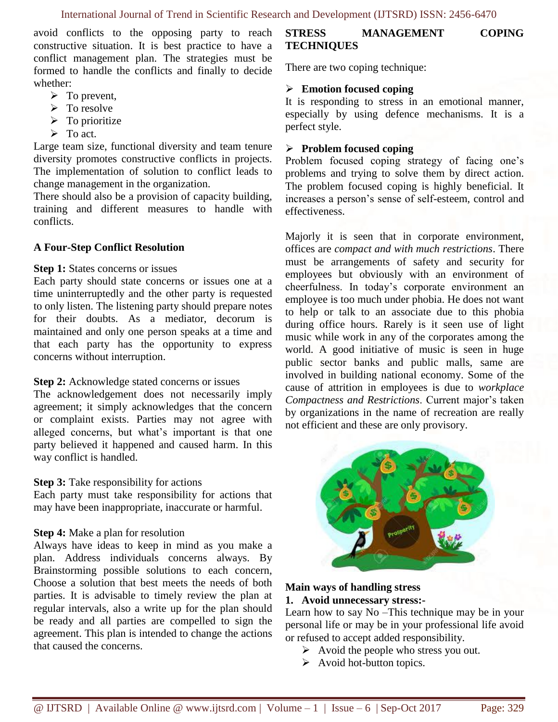avoid conflicts to the opposing party to reach constructive situation. It is best practice to have a conflict management plan. The strategies must be formed to handle the conflicts and finally to decide whether:

- $\triangleright$  To prevent,
- $\triangleright$  To resolve
- $\triangleright$  To prioritize
- $\triangleright$  To act.

Large team size, functional diversity and team tenure diversity promotes constructive conflicts in projects. The implementation of solution to conflict leads to change management in the organization.

There should also be a provision of capacity building, training and different measures to handle with conflicts.

#### **A Four-Step Conflict Resolution**

#### **Step 1:** States concerns or issues

Each party should state concerns or issues one at a time uninterruptedly and the other party is requested to only listen. The listening party should prepare notes for their doubts. As a mediator, decorum is maintained and only one person speaks at a time and that each party has the opportunity to express concerns without interruption.

#### **Step 2:** Acknowledge stated concerns or issues

The acknowledgement does not necessarily imply agreement; it simply acknowledges that the concern or complaint exists. Parties may not agree with alleged concerns, but what's important is that one party believed it happened and caused harm. In this way conflict is handled.

#### **Step 3:** Take responsibility for actions

Each party must take responsibility for actions that may have been inappropriate, inaccurate or harmful.

#### **Step 4:** Make a plan for resolution

Always have ideas to keep in mind as you make a plan. Address individuals concerns always. By Brainstorming possible solutions to each concern, Choose a solution that best meets the needs of both parties. It is advisable to timely review the plan at regular intervals, also a write up for the plan should be ready and all parties are compelled to sign the agreement. This plan is intended to change the actions that caused the concerns.

### **STRESS MANAGEMENT COPING TECHNIQUES**

There are two coping technique:

#### **Emotion focused coping**

It is responding to stress in an emotional manner, especially by using defence mechanisms. It is a perfect style.

#### **Problem focused coping**

Problem focused coping strategy of facing one's problems and trying to solve them by direct action. The problem focused coping is highly beneficial. It increases a person's sense of self-esteem, control and effectiveness.

Majorly it is seen that in corporate environment, offices are *compact and with much restrictions*. There must be arrangements of safety and security for employees but obviously with an environment of cheerfulness. In today's corporate environment an employee is too much under phobia. He does not want to help or talk to an associate due to this phobia during office hours. Rarely is it seen use of light music while work in any of the corporates among the world. A good initiative of music is seen in huge public sector banks and public malls, same are involved in building national economy. Some of the cause of attrition in employees is due to *workplace Compactness and Restrictions*. Current major's taken by organizations in the name of recreation are really not efficient and these are only provisory.



#### **Main ways of handling stress 1. Avoid unnecessary stress:-**

Learn how to say No –This technique may be in your personal life or may be in your professional life avoid or refused to accept added responsibility.

- $\triangleright$  Avoid the people who stress you out.
- $\triangleright$  Avoid hot-button topics.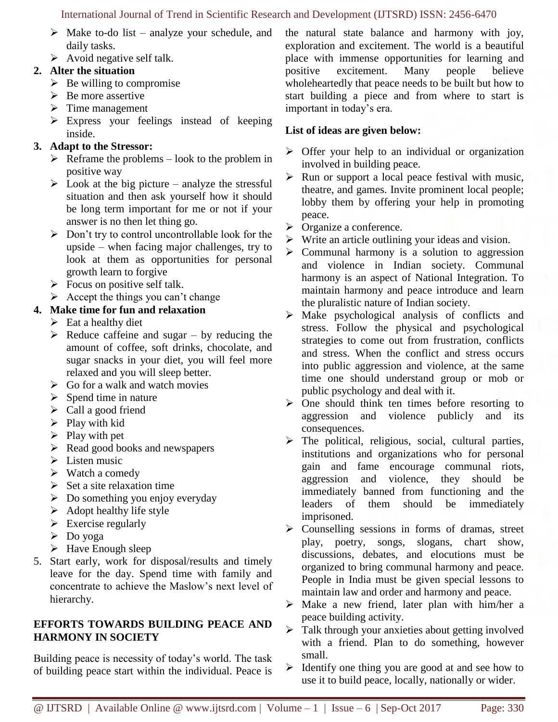- $\triangleright$  Make to-do list analyze your schedule, and daily tasks.
- $\triangleright$  Avoid negative self talk.

# **2. Alter the situation**

- $\triangleright$  Be willing to compromise
- $\triangleright$  Be more assertive
- $\triangleright$  Time management
- $\triangleright$  Express your feelings instead of keeping inside.

# **3. Adapt to the Stressor:**

- $\triangleright$  Reframe the problems look to the problem in positive way
- $\triangleright$  Look at the big picture analyze the stressful situation and then ask yourself how it should be long term important for me or not if your answer is no then let thing go.
- $\triangleright$  Don't try to control uncontrollable look for the upside – when facing major challenges, try to look at them as opportunities for personal growth learn to forgive
- $\triangleright$  Focus on positive self talk.
- $\triangleright$  Accept the things you can't change

# **4. Make time for fun and relaxation**

- $\triangleright$  Eat a healthy diet
- $\triangleright$  Reduce caffeine and sugar by reducing the amount of coffee, soft drinks, chocolate, and sugar snacks in your diet, you will feel more relaxed and you will sleep better.
- $\triangleright$  Go for a walk and watch movies
- $\triangleright$  Spend time in nature
- $\triangleright$  Call a good friend
- $\triangleright$  Play with kid
- $\triangleright$  Play with pet
- $\triangleright$  Read good books and newspapers
- $\triangleright$  Listen music
- $\triangleright$  Watch a comedy
- $\triangleright$  Set a site relaxation time
- $\triangleright$  Do something you enjoy everyday
- $\triangleright$  Adopt healthy life style
- $\triangleright$  Exercise regularly
- Do yoga
- $\triangleright$  Have Enough sleep
- 5. Start early, work for disposal/results and timely leave for the day. Spend time with family and concentrate to achieve the Maslow's next level of hierarchy.

# **EFFORTS TOWARDS BUILDING PEACE AND HARMONY IN SOCIETY**

Building peace is necessity of today's world. The task of building peace start within the individual. Peace is the natural state balance and harmony with joy, exploration and excitement. The world is a beautiful place with immense opportunities for learning and positive excitement. Many people believe wholeheartedly that peace needs to be built but how to start building a piece and from where to start is important in today's era.

# **List of ideas are given below:**

- $\triangleright$  Offer your help to an individual or organization involved in building peace.
- $\triangleright$  Run or support a local peace festival with music, theatre, and games. Invite prominent local people; lobby them by offering your help in promoting peace.
- > Organize a conference.
- $\triangleright$  Write an article outlining your ideas and vision.
- $\triangleright$  Communal harmony is a solution to aggression and violence in Indian society. Communal harmony is an aspect of National Integration. To maintain harmony and peace introduce and learn the pluralistic nature of Indian society.
- $\triangleright$  Make psychological analysis of conflicts and stress. Follow the physical and psychological strategies to come out from frustration, conflicts and stress. When the conflict and stress occurs into public aggression and violence, at the same time one should understand group or mob or public psychology and deal with it.
- $\triangleright$  One should think ten times before resorting to aggression and violence publicly and its consequences.
- $\triangleright$  The political, religious, social, cultural parties, institutions and organizations who for personal gain and fame encourage communal riots, aggression and violence, they should be immediately banned from functioning and the leaders of them should be immediately imprisoned.
- $\triangleright$  Counselling sessions in forms of dramas, street play, poetry, songs, slogans, chart show, discussions, debates, and elocutions must be organized to bring communal harmony and peace. People in India must be given special lessons to maintain law and order and harmony and peace.
- $\triangleright$  Make a new friend, later plan with him/her a peace building activity.
- $\triangleright$  Talk through your anxieties about getting involved with a friend. Plan to do something, however small.
- $\triangleright$  Identify one thing you are good at and see how to use it to build peace, locally, nationally or wider.